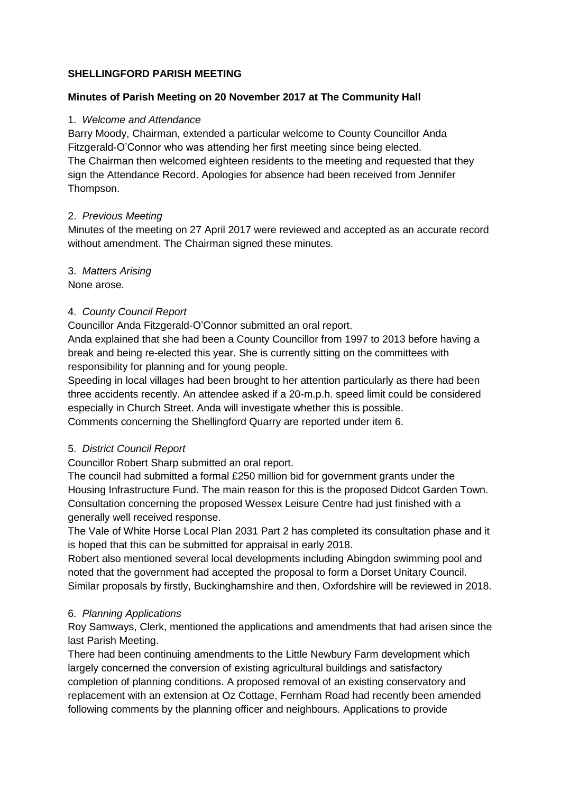# **SHELLINGFORD PARISH MEETING**

## **Minutes of Parish Meeting on 20 November 2017 at The Community Hall**

#### 1. *Welcome and Attendance*

Barry Moody, Chairman, extended a particular welcome to County Councillor Anda Fitzgerald-O'Connor who was attending her first meeting since being elected. The Chairman then welcomed eighteen residents to the meeting and requested that they sign the Attendance Record. Apologies for absence had been received from Jennifer Thompson.

#### 2. *Previous Meeting*

Minutes of the meeting on 27 April 2017 were reviewed and accepted as an accurate record without amendment. The Chairman signed these minutes.

#### 3. *Matters Arising*

None arose.

#### 4. *County Council Report*

Councillor Anda Fitzgerald-O'Connor submitted an oral report.

Anda explained that she had been a County Councillor from 1997 to 2013 before having a break and being re-elected this year. She is currently sitting on the committees with responsibility for planning and for young people.

Speeding in local villages had been brought to her attention particularly as there had been three accidents recently. An attendee asked if a 20-m.p.h. speed limit could be considered especially in Church Street. Anda will investigate whether this is possible.

Comments concerning the Shellingford Quarry are reported under item 6.

#### 5. *District Council Report*

Councillor Robert Sharp submitted an oral report.

The council had submitted a formal £250 million bid for government grants under the Housing Infrastructure Fund. The main reason for this is the proposed Didcot Garden Town. Consultation concerning the proposed Wessex Leisure Centre had just finished with a generally well received response.

The Vale of White Horse Local Plan 2031 Part 2 has completed its consultation phase and it is hoped that this can be submitted for appraisal in early 2018.

Robert also mentioned several local developments including Abingdon swimming pool and noted that the government had accepted the proposal to form a Dorset Unitary Council. Similar proposals by firstly, Buckinghamshire and then, Oxfordshire will be reviewed in 2018.

#### 6. *Planning Applications*

Roy Samways, Clerk, mentioned the applications and amendments that had arisen since the last Parish Meeting.

There had been continuing amendments to the Little Newbury Farm development which largely concerned the conversion of existing agricultural buildings and satisfactory completion of planning conditions. A proposed removal of an existing conservatory and replacement with an extension at Oz Cottage, Fernham Road had recently been amended following comments by the planning officer and neighbours. Applications to provide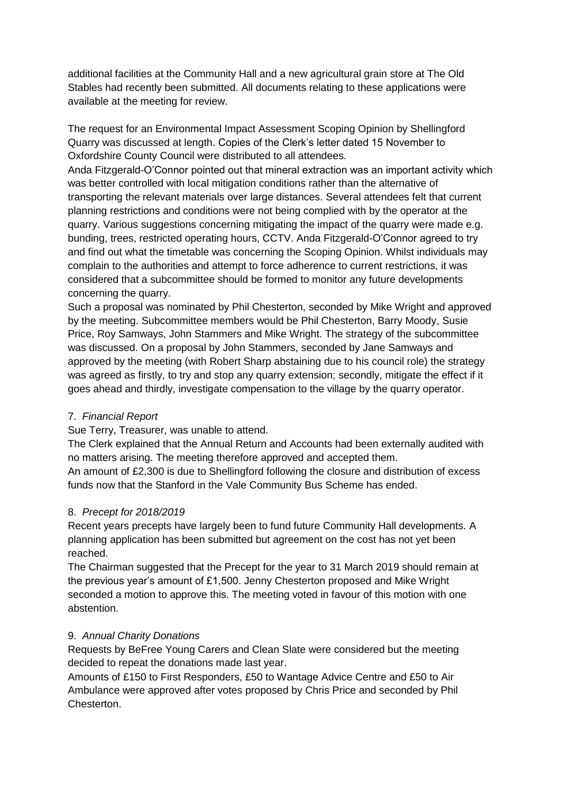additional facilities at the Community Hall and a new agricultural grain store at The Old Stables had recently been submitted. All documents relating to these applications were available at the meeting for review.

The request for an Environmental Impact Assessment Scoping Opinion by Shellingford Quarry was discussed at length. Copies of the Clerk's letter dated 15 November to Oxfordshire County Council were distributed to all attendees.

Anda Fitzgerald-O'Connor pointed out that mineral extraction was an important activity which was better controlled with local mitigation conditions rather than the alternative of transporting the relevant materials over large distances. Several attendees felt that current planning restrictions and conditions were not being complied with by the operator at the quarry. Various suggestions concerning mitigating the impact of the quarry were made e.g. bunding, trees, restricted operating hours, CCTV. Anda Fitzgerald-O'Connor agreed to try and find out what the timetable was concerning the Scoping Opinion. Whilst individuals may complain to the authorities and attempt to force adherence to current restrictions, it was considered that a subcommittee should be formed to monitor any future developments concerning the quarry.

Such a proposal was nominated by Phil Chesterton, seconded by Mike Wright and approved by the meeting. Subcommittee members would be Phil Chesterton, Barry Moody, Susie Price, Roy Samways, John Stammers and Mike Wright. The strategy of the subcommittee was discussed. On a proposal by John Stammers, seconded by Jane Samways and approved by the meeting (with Robert Sharp abstaining due to his council role) the strategy was agreed as firstly, to try and stop any quarry extension; secondly, mitigate the effect if it goes ahead and thirdly, investigate compensation to the village by the quarry operator.

#### 7. *Financial Report*

Sue Terry, Treasurer, was unable to attend.

The Clerk explained that the Annual Return and Accounts had been externally audited with no matters arising. The meeting therefore approved and accepted them.

An amount of £2,300 is due to Shellingford following the closure and distribution of excess funds now that the Stanford in the Vale Community Bus Scheme has ended.

#### 8. *Precept for 2018/2019*

Recent years precepts have largely been to fund future Community Hall developments. A planning application has been submitted but agreement on the cost has not yet been reached.

The Chairman suggested that the Precept for the year to 31 March 2019 should remain at the previous year's amount of £1,500. Jenny Chesterton proposed and Mike Wright seconded a motion to approve this. The meeting voted in favour of this motion with one abstention.

#### 9. *Annual Charity Donations*

Requests by BeFree Young Carers and Clean Slate were considered but the meeting decided to repeat the donations made last year.

Amounts of £150 to First Responders, £50 to Wantage Advice Centre and £50 to Air Ambulance were approved after votes proposed by Chris Price and seconded by Phil **Chesterton**